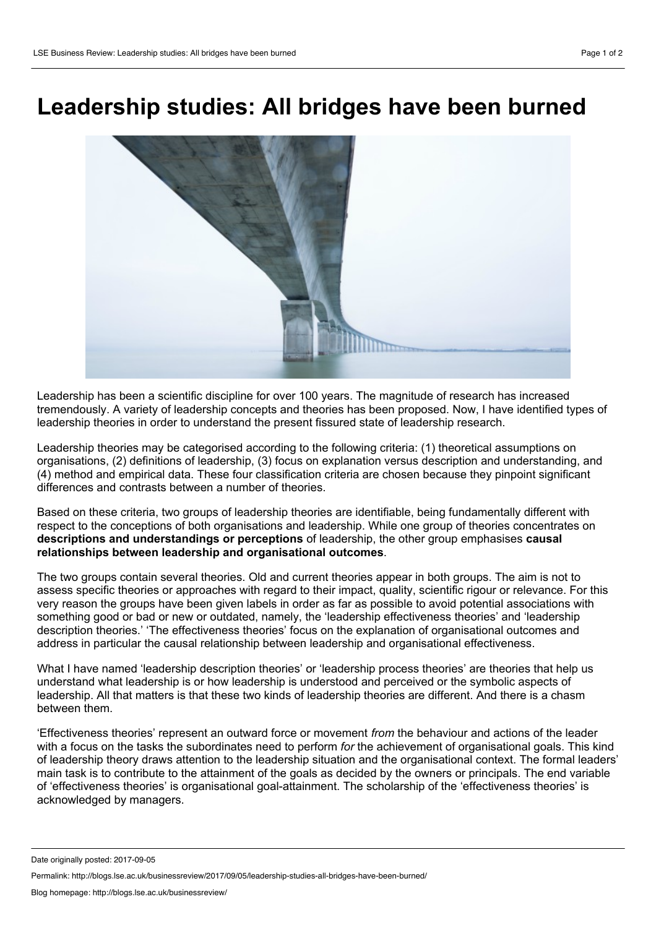## **Leadership studies: All bridges have been burned**



Leadership has been a scientific discipline for over 100 years. The magnitude of research has increased tremendously. A variety of leadership concepts and theories has been proposed. Now, I have identified types of leadership theories in order to understand the present fissured state of leadership research.

Leadership theories may be categorised according to the following criteria: (1) theoretical assumptions on organisations, (2) definitions of leadership, (3) focus on explanation versus description and understanding, and (4) method and empirical data. These four classification criteria are chosen because they pinpoint significant differences and contrasts between a number of theories.

Based on these criteria, two groups of leadership theories are identifiable, being fundamentally different with respect to the conceptions of both organisations and leadership. While one group of theories concentrates on **descriptions and understandings or perceptions** of leadership, the other group emphasises **causal relationships between leadership and organisational outcomes**.

The two groups contain several theories. Old and current theories appear in both groups. The aim is not to assess specific theories or approaches with regard to their impact, quality, scientific rigour or relevance. For this very reason the groups have been given labels in order as far as possible to avoid potential associations with something good or bad or new or outdated, namely, the 'leadership effectiveness theories' and 'leadership description theories.' 'The effectiveness theories' focus on the explanation of organisational outcomes and address in particular the causal relationship between leadership and organisational effectiveness.

What I have named 'leadership description theories' or 'leadership process theories' are theories that help us understand what leadership is or how leadership is understood and perceived or the symbolic aspects of leadership. All that matters is that these two kinds of leadership theories are different. And there is a chasm between them.

'Effectiveness theories' represent an outward force or movement *from* the behaviour and actions of the leader with a focus on the tasks the subordinates need to perform *for* the achievement of organisational goals. This kind of leadership theory draws attention to the leadership situation and the organisational context. The formal leaders' main task is to contribute to the attainment of the goals as decided by the owners or principals. The end variable of 'effectiveness theories' is organisational goal-attainment. The scholarship of the 'effectiveness theories' is acknowledged by managers.

Date originally posted: 2017-09-05

Permalink: http://blogs.lse.ac.uk/businessreview/2017/09/05/leadership-studies-all-bridges-have-been-burned/